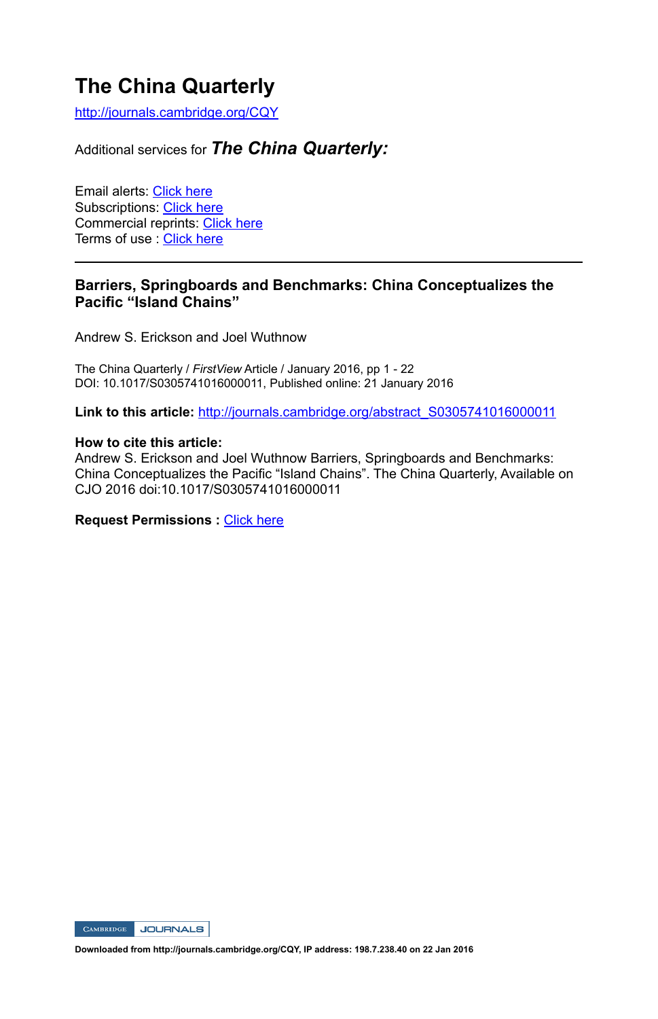## **The China Quarterly**

http://journals.cambridge.org/CQY

## Additional services for *The China Quarterly:*

Email alerts: Click here Subscriptions: Click here Commercial reprints: Click here Terms of use : Click here

## **Barriers, Springboards and Benchmarks: China Conceptualizes the Pacific "Island Chains"**

Andrew S. Erickson and Joel Wuthnow

The China Quarterly / *FirstView* Article / January 2016, pp 1 - 22 DOI: 10.1017/S0305741016000011, Published online: 21 January 2016

Link to this article: http://journals.cambridge.org/abstract\_S0305741016000011

#### **How to cite this article:**

Andrew S. Erickson and Joel Wuthnow Barriers, Springboards and Benchmarks: China Conceptualizes the Pacific "Island Chains". The China Quarterly, Available on CJO 2016 doi:10.1017/S0305741016000011

#### **Request Permissions :** Click here



**Downloaded from http://journals.cambridge.org/CQY, IP address: 198.7.238.40 on 22 Jan 2016**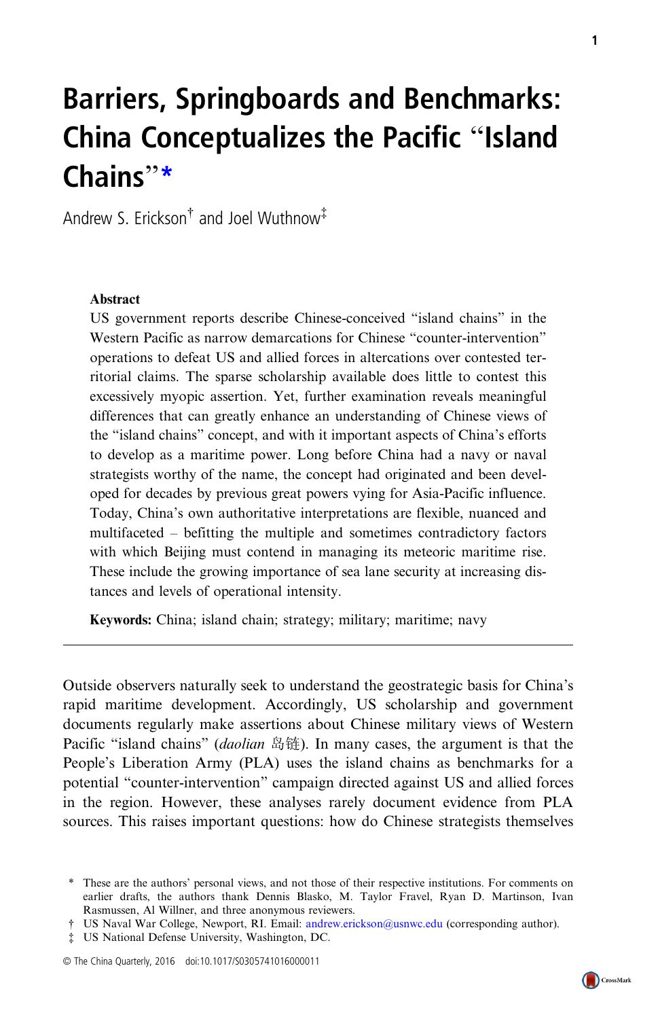# Barriers, Springboards and Benchmarks: China Conceptualizes the Pacific "Island Chains"\*

Andrew S. Erickson† and Joel Wuthnow‡

#### Abstract

US government reports describe Chinese-conceived "island chains" in the Western Pacific as narrow demarcations for Chinese "counter-intervention" operations to defeat US and allied forces in altercations over contested territorial claims. The sparse scholarship available does little to contest this excessively myopic assertion. Yet, further examination reveals meaningful differences that can greatly enhance an understanding of Chinese views of the "island chains" concept, and with it important aspects of China's efforts to develop as a maritime power. Long before China had a navy or naval strategists worthy of the name, the concept had originated and been developed for decades by previous great powers vying for Asia-Pacific influence. Today, China's own authoritative interpretations are flexible, nuanced and multifaceted – befitting the multiple and sometimes contradictory factors with which Beijing must contend in managing its meteoric maritime rise. These include the growing importance of sea lane security at increasing distances and levels of operational intensity.

Keywords: China; island chain; strategy; military; maritime; navy

Outside observers naturally seek to understand the geostrategic basis for China's rapid maritime development. Accordingly, US scholarship and government documents regularly make assertions about Chinese military views of Western Pacific "island chains" (*daolian* 岛链). In many cases, the argument is that the People's Liberation Army (PLA) uses the island chains as benchmarks for a potential "counter-intervention" campaign directed against US and allied forces in the region. However, these analyses rarely document evidence from PLA sources. This raises important questions: how do Chinese strategists themselves



<sup>\*</sup> These are the authors' personal views, and not those of their respective institutions. For comments on earlier drafts, the authors thank Dennis Blasko, M. Taylor Fravel, Ryan D. Martinson, Ivan Rasmussen, Al Willner, and three anonymous reviewers.

<sup>†</sup> US Naval War College, Newport, RI. Email: [andrew.erickson@usnwc.edu](mailto:andrew.erickson@usnwc.edu) (corresponding author).

<sup>‡</sup> US National Defense University, Washington, DC.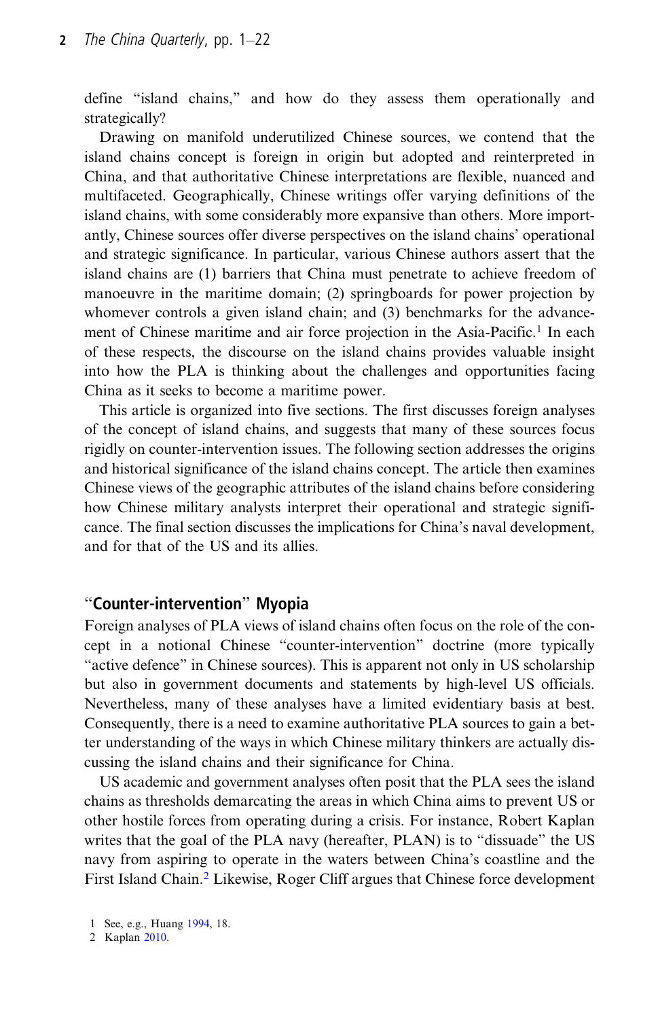define "island chains," and how do they assess them operationally and strategically?

Drawing on manifold underutilized Chinese sources, we contend that the island chains concept is foreign in origin but adopted and reinterpreted in China, and that authoritative Chinese interpretations are flexible, nuanced and multifaceted. Geographically, Chinese writings offer varying definitions of the island chains, with some considerably more expansive than others. More importantly, Chinese sources offer diverse perspectives on the island chains' operational and strategic significance. In particular, various Chinese authors assert that the island chains are (1) barriers that China must penetrate to achieve freedom of manoeuvre in the maritime domain; (2) springboards for power projection by whomever controls a given island chain; and (3) benchmarks for the advancement of Chinese maritime and air force projection in the Asia-Pacific.<sup>1</sup> In each of these respects, the discourse on the island chains provides valuable insight into how the PLA is thinking about the challenges and opportunities facing China as it seeks to become a maritime power.

This article is organized into five sections. The first discusses foreign analyses of the concept of island chains, and suggests that many of these sources focus rigidly on counter-intervention issues. The following section addresses the origins and historical significance of the island chains concept. The article then examines Chinese views of the geographic attributes of the island chains before considering how Chinese military analysts interpret their operational and strategic significance. The final section discusses the implications for China's naval development, and for that of the US and its allies.

## "Counter-intervention" Myopia

Foreign analyses of PLA views of island chains often focus on the role of the concept in a notional Chinese "counter-intervention" doctrine (more typically "active defence" in Chinese sources). This is apparent not only in US scholarship but also in government documents and statements by high-level US officials. Nevertheless, many of these analyses have a limited evidentiary basis at best. Consequently, there is a need to examine authoritative PLA sources to gain a better understanding of the ways in which Chinese military thinkers are actually discussing the island chains and their significance for China.

US academic and government analyses often posit that the PLA sees the island chains as thresholds demarcating the areas in which China aims to prevent US or other hostile forces from operating during a crisis. For instance, Robert Kaplan writes that the goal of the PLA navy (hereafter, PLAN) is to "dissuade" the US navy from aspiring to operate in the waters between China's coastline and the First Island Chain.<sup>2</sup> Likewise, Roger Cliff argues that Chinese force development

1 See, e.g., Huang [1994,](#page-20-0) 18.

2 Kaplan [2010](#page-20-0).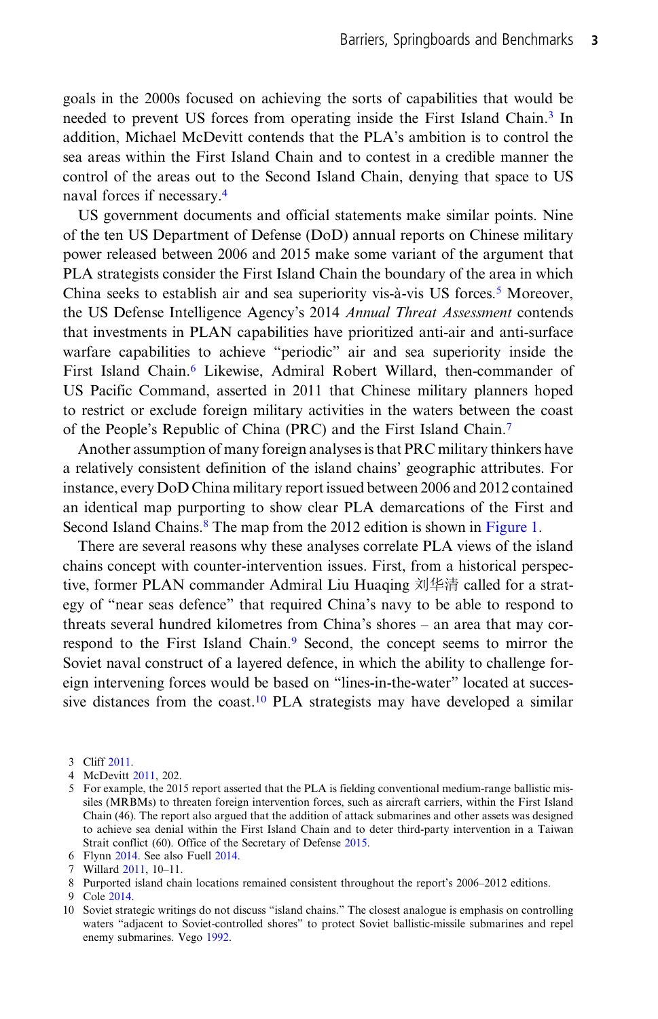goals in the 2000s focused on achieving the sorts of capabilities that would be needed to prevent US forces from operating inside the First Island Chain.<sup>3</sup> In addition, Michael McDevitt contends that the PLA's ambition is to control the sea areas within the First Island Chain and to contest in a credible manner the control of the areas out to the Second Island Chain, denying that space to US naval forces if necessary.4

US government documents and official statements make similar points. Nine of the ten US Department of Defense (DoD) annual reports on Chinese military power released between 2006 and 2015 make some variant of the argument that PLA strategists consider the First Island Chain the boundary of the area in which China seeks to establish air and sea superiority vis-à-vis US forces.<sup>5</sup> Moreover, the US Defense Intelligence Agency's 2014 Annual Threat Assessment contends that investments in PLAN capabilities have prioritized anti-air and anti-surface warfare capabilities to achieve "periodic" air and sea superiority inside the First Island Chain.<sup>6</sup> Likewise, Admiral Robert Willard, then-commander of US Pacific Command, asserted in 2011 that Chinese military planners hoped to restrict or exclude foreign military activities in the waters between the coast of the People's Republic of China (PRC) and the First Island Chain.<sup>7</sup>

Another assumption of many foreign analyses is that PRC military thinkers have a relatively consistent definition of the island chains' geographic attributes. For instance, every DoD China military report issued between 2006 and 2012 contained an identical map purporting to show clear PLA demarcations of the First and Second Island Chains.<sup>8</sup> The map from the 2012 edition is shown in [Figure 1.](#page-4-0)

There are several reasons why these analyses correlate PLA views of the island chains concept with counter-intervention issues. First, from a historical perspective, former PLAN commander Admiral Liu Huaqing 刘华清 called for a strategy of "near seas defence" that required China's navy to be able to respond to threats several hundred kilometres from China's shores – an area that may correspond to the First Island Chain.<sup>9</sup> Second, the concept seems to mirror the Soviet naval construct of a layered defence, in which the ability to challenge foreign intervening forces would be based on "lines-in-the-water" located at successive distances from the coast.<sup>10</sup> PLA strategists may have developed a similar

- 4 McDevitt [2011,](#page-20-0) 202.
- 5 For example, the 2015 report asserted that the PLA is fielding conventional medium-range ballistic missiles (MRBMs) to threaten foreign intervention forces, such as aircraft carriers, within the First Island Chain (46). The report also argued that the addition of attack submarines and other assets was designed to achieve sea denial within the First Island Chain and to deter third-party intervention in a Taiwan Strait conflict (60). Office of the Secretary of Defense [2015](#page-21-0).
- 6 Flynn [2014.](#page-20-0) See also Fuell [2014.](#page-20-0)

- 8 Purported island chain locations remained consistent throughout the report's 2006–2012 editions.
- 9 Cole [2014.](#page-19-0)

<sup>3</sup> Cliff [2011](#page-19-0).

<sup>7</sup> Willard [2011](#page-21-0), 10–11.

<sup>10</sup> Soviet strategic writings do not discuss "island chains." The closest analogue is emphasis on controlling waters "adjacent to Soviet-controlled shores" to protect Soviet ballistic-missile submarines and repel enemy submarines. Vego [1992.](#page-21-0)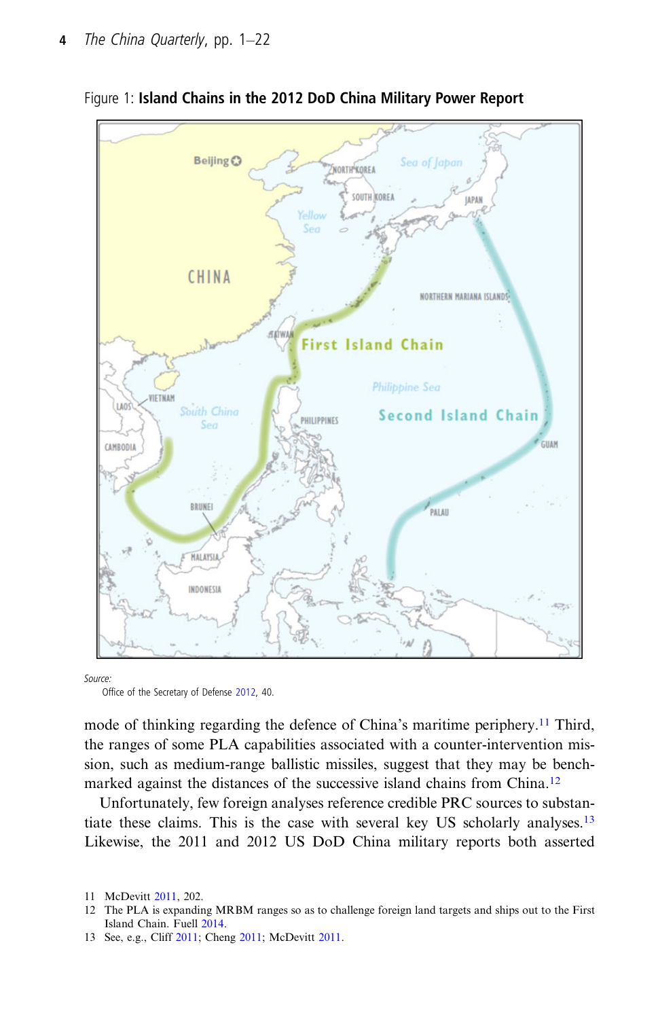

<span id="page-4-0"></span>

Source: Office of the Secretary of Defense [2012,](#page-21-0) 40.

mode of thinking regarding the defence of China's maritime periphery.<sup>11</sup> Third, the ranges of some PLA capabilities associated with a counter-intervention mission, such as medium-range ballistic missiles, suggest that they may be benchmarked against the distances of the successive island chains from China.<sup>12</sup>

Unfortunately, few foreign analyses reference credible PRC sources to substantiate these claims. This is the case with several key US scholarly analyses.<sup>13</sup> Likewise, the 2011 and 2012 US DoD China military reports both asserted

13 See, e.g., Cliff [2011](#page-19-0); Cheng [2011](#page-19-0); McDevitt [2011.](#page-20-0)

<sup>11</sup> McDevitt [2011](#page-20-0), 202.

<sup>12</sup> The PLA is expanding MRBM ranges so as to challenge foreign land targets and ships out to the First Island Chain. Fuell [2014.](#page-20-0)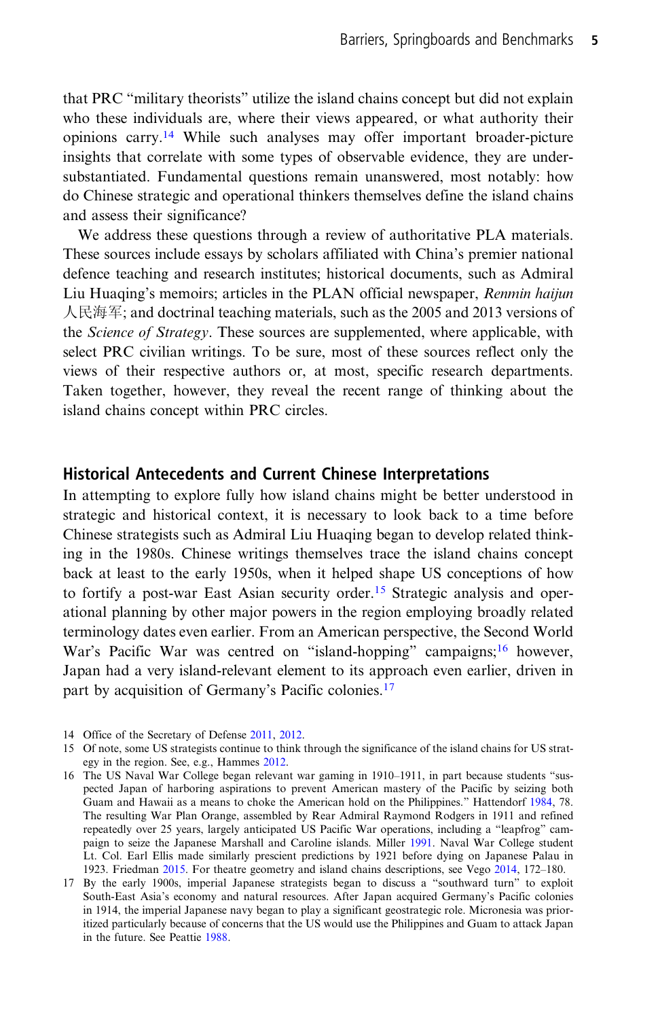that PRC "military theorists" utilize the island chains concept but did not explain who these individuals are, where their views appeared, or what authority their opinions carry.14 While such analyses may offer important broader-picture insights that correlate with some types of observable evidence, they are undersubstantiated. Fundamental questions remain unanswered, most notably: how do Chinese strategic and operational thinkers themselves define the island chains and assess their significance?

We address these questions through a review of authoritative PLA materials. These sources include essays by scholars affiliated with China's premier national defence teaching and research institutes; historical documents, such as Admiral Liu Huaqing's memoirs; articles in the PLAN official newspaper, Renmin haijun 人民海军; and doctrinal teaching materials, such as the 2005 and 2013 versions of the *Science of Strategy*. These sources are supplemented, where applicable, with select PRC civilian writings. To be sure, most of these sources reflect only the views of their respective authors or, at most, specific research departments. Taken together, however, they reveal the recent range of thinking about the island chains concept within PRC circles.

## Historical Antecedents and Current Chinese Interpretations

In attempting to explore fully how island chains might be better understood in strategic and historical context, it is necessary to look back to a time before Chinese strategists such as Admiral Liu Huaqing began to develop related thinking in the 1980s. Chinese writings themselves trace the island chains concept back at least to the early 1950s, when it helped shape US conceptions of how to fortify a post-war East Asian security order.<sup>15</sup> Strategic analysis and operational planning by other major powers in the region employing broadly related terminology dates even earlier. From an American perspective, the Second World War's Pacific War was centred on "island-hopping" campaigns;<sup>16</sup> however, Japan had a very island-relevant element to its approach even earlier, driven in part by acquisition of Germany's Pacific colonies.<sup>17</sup>

<sup>14</sup> Office of the Secretary of Defense [2011](#page-20-0), [2012.](#page-21-0)

<sup>15</sup> Of note, some US strategists continue to think through the significance of the island chains for US strategy in the region. See, e.g., Hammes [2012.](#page-20-0)

<sup>16</sup> The US Naval War College began relevant war gaming in 1910–1911, in part because students "suspected Japan of harboring aspirations to prevent American mastery of the Pacific by seizing both Guam and Hawaii as a means to choke the American hold on the Philippines." Hattendorf [1984,](#page-20-0) 78. The resulting War Plan Orange, assembled by Rear Admiral Raymond Rodgers in 1911 and refined repeatedly over 25 years, largely anticipated US Pacific War operations, including a "leapfrog" campaign to seize the Japanese Marshall and Caroline islands. Miller [1991.](#page-20-0) Naval War College student Lt. Col. Earl Ellis made similarly prescient predictions by 1921 before dying on Japanese Palau in 1923. Friedman [2015.](#page-20-0) For theatre geometry and island chains descriptions, see Vego [2014](#page-21-0), 172–180.

<sup>17</sup> By the early 1900s, imperial Japanese strategists began to discuss a "southward turn" to exploit South-East Asia's economy and natural resources. After Japan acquired Germany's Pacific colonies in 1914, the imperial Japanese navy began to play a significant geostrategic role. Micronesia was prioritized particularly because of concerns that the US would use the Philippines and Guam to attack Japan in the future. See Peattie [1988](#page-21-0).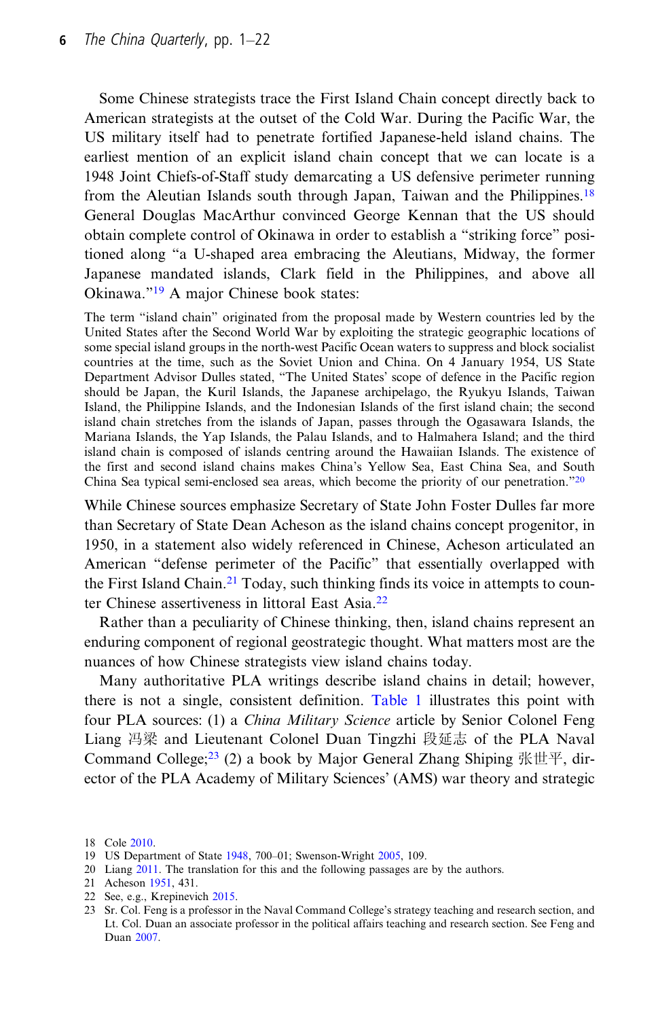Some Chinese strategists trace the First Island Chain concept directly back to American strategists at the outset of the Cold War. During the Pacific War, the US military itself had to penetrate fortified Japanese-held island chains. The earliest mention of an explicit island chain concept that we can locate is a 1948 Joint Chiefs-of-Staff study demarcating a US defensive perimeter running from the Aleutian Islands south through Japan, Taiwan and the Philippines.<sup>18</sup> General Douglas MacArthur convinced George Kennan that the US should obtain complete control of Okinawa in order to establish a "striking force" positioned along "a U-shaped area embracing the Aleutians, Midway, the former Japanese mandated islands, Clark field in the Philippines, and above all Okinawa."<sup>19</sup> A major Chinese book states:

The term "island chain" originated from the proposal made by Western countries led by the United States after the Second World War by exploiting the strategic geographic locations of some special island groups in the north-west Pacific Ocean waters to suppress and block socialist countries at the time, such as the Soviet Union and China. On 4 January 1954, US State Department Advisor Dulles stated, "The United States' scope of defence in the Pacific region should be Japan, the Kuril Islands, the Japanese archipelago, the Ryukyu Islands, Taiwan Island, the Philippine Islands, and the Indonesian Islands of the first island chain; the second island chain stretches from the islands of Japan, passes through the Ogasawara Islands, the Mariana Islands, the Yap Islands, the Palau Islands, and to Halmahera Island; and the third island chain is composed of islands centring around the Hawaiian Islands. The existence of the first and second island chains makes China's Yellow Sea, East China Sea, and South China Sea typical semi-enclosed sea areas, which become the priority of our penetration."<sup>20</sup>

While Chinese sources emphasize Secretary of State John Foster Dulles far more than Secretary of State Dean Acheson as the island chains concept progenitor, in 1950, in a statement also widely referenced in Chinese, Acheson articulated an American "defense perimeter of the Pacific" that essentially overlapped with the First Island Chain.<sup>21</sup> Today, such thinking finds its voice in attempts to counter Chinese assertiveness in littoral East Asia.<sup>22</sup>

Rather than a peculiarity of Chinese thinking, then, island chains represent an enduring component of regional geostrategic thought. What matters most are the nuances of how Chinese strategists view island chains today.

Many authoritative PLA writings describe island chains in detail; however, there is not a single, consistent definition. [Table 1](#page-7-0) illustrates this point with four PLA sources: (1) a China Military Science article by Senior Colonel Feng Liang 冯梁 and Lieutenant Colonel Duan Tingzhi 段延志 of the PLA Naval Command College;<sup>23</sup> (2) a book by Major General Zhang Shiping  $\frac{11}{2}$  Kither ector of the PLA Academy of Military Sciences' (AMS) war theory and strategic

<sup>18</sup> Cole [2010](#page-19-0).

<sup>19</sup> US Department of State [1948,](#page-21-0) 700–01; Swenson-Wright [2005,](#page-21-0) 109.

<sup>20</sup> Liang [2011.](#page-20-0) The translation for this and the following passages are by the authors.

<sup>21</sup> Acheson [1951,](#page-19-0) 431.

<sup>22</sup> See, e.g., Krepinevich [2015.](#page-20-0)

<sup>23</sup> Sr. Col. Feng is a professor in the Naval Command College's strategy teaching and research section, and Lt. Col. Duan an associate professor in the political affairs teaching and research section. See Feng and Duan [2007](#page-20-0).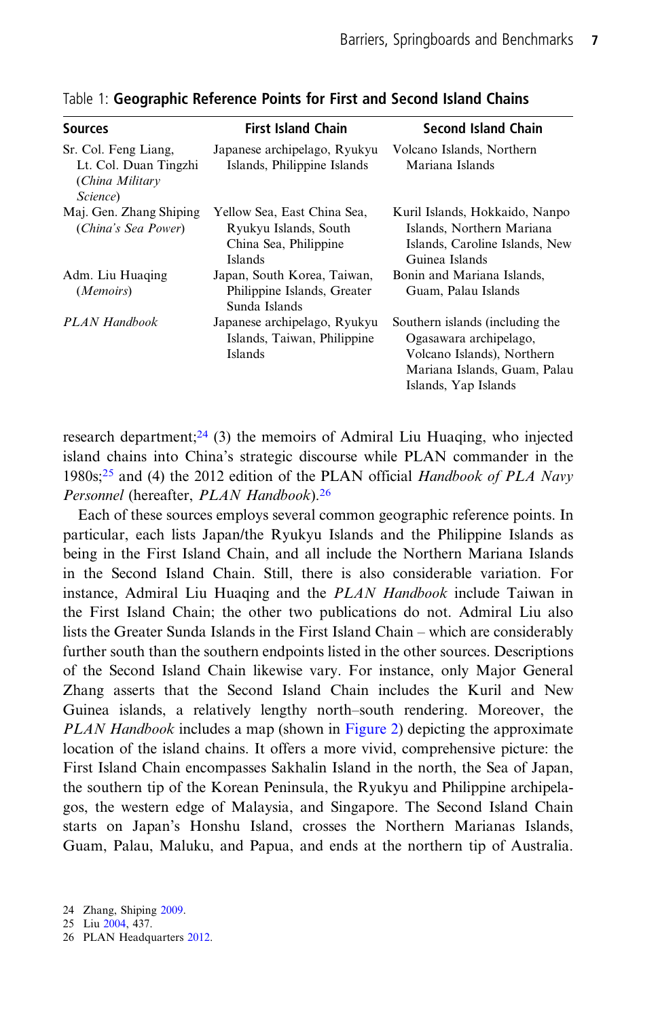| <b>Sources</b>                                                               | <b>First Island Chain</b>                                                                | <b>Second Island Chain</b>                                                                                                                      |
|------------------------------------------------------------------------------|------------------------------------------------------------------------------------------|-------------------------------------------------------------------------------------------------------------------------------------------------|
| Sr. Col. Feng Liang,<br>Lt. Col. Duan Tingzhi<br>(China Military<br>Science) | Japanese archipelago, Ryukyu<br>Islands, Philippine Islands                              | Volcano Islands, Northern<br>Mariana Islands                                                                                                    |
| Maj. Gen. Zhang Shiping<br>(China's Sea Power)                               | Yellow Sea, East China Sea,<br>Ryukyu Islands, South<br>China Sea, Philippine<br>Islands | Kuril Islands, Hokkaido, Nanpo<br>Islands, Northern Mariana<br>Islands, Caroline Islands, New<br>Guinea Islands                                 |
| Adm. Liu Huaging<br>( <i>Memoirs</i> )                                       | Japan, South Korea, Taiwan,<br>Philippine Islands, Greater<br>Sunda Islands              | Bonin and Mariana Islands,<br>Guam, Palau Islands                                                                                               |
| <b>PLAN Handbook</b>                                                         | Japanese archipelago, Ryukyu<br>Islands, Taiwan, Philippine<br>Islands                   | Southern islands (including the<br>Ogasawara archipelago,<br>Volcano Islands), Northern<br>Mariana Islands, Guam, Palau<br>Islands, Yap Islands |

<span id="page-7-0"></span>Table 1: Geographic Reference Points for First and Second Island Chains

research department; $24$  (3) the memoirs of Admiral Liu Huaqing, who injected island chains into China's strategic discourse while PLAN commander in the 1980s;<sup>25</sup> and (4) the 2012 edition of the PLAN official Handbook of PLA Navy Personnel (hereafter, PLAN Handbook).<sup>26</sup>

Each of these sources employs several common geographic reference points. In particular, each lists Japan/the Ryukyu Islands and the Philippine Islands as being in the First Island Chain, and all include the Northern Mariana Islands in the Second Island Chain. Still, there is also considerable variation. For instance, Admiral Liu Huaqing and the PLAN Handbook include Taiwan in the First Island Chain; the other two publications do not. Admiral Liu also lists the Greater Sunda Islands in the First Island Chain – which are considerably further south than the southern endpoints listed in the other sources. Descriptions of the Second Island Chain likewise vary. For instance, only Major General Zhang asserts that the Second Island Chain includes the Kuril and New Guinea islands, a relatively lengthy north–south rendering. Moreover, the PLAN Handbook includes a map (shown in [Figure 2](#page-8-0)) depicting the approximate location of the island chains. It offers a more vivid, comprehensive picture: the First Island Chain encompasses Sakhalin Island in the north, the Sea of Japan, the southern tip of the Korean Peninsula, the Ryukyu and Philippine archipelagos, the western edge of Malaysia, and Singapore. The Second Island Chain starts on Japan's Honshu Island, crosses the Northern Marianas Islands, Guam, Palau, Maluku, and Papua, and ends at the northern tip of Australia.

<sup>26</sup> PLAN Headquarters [2012](#page-21-0).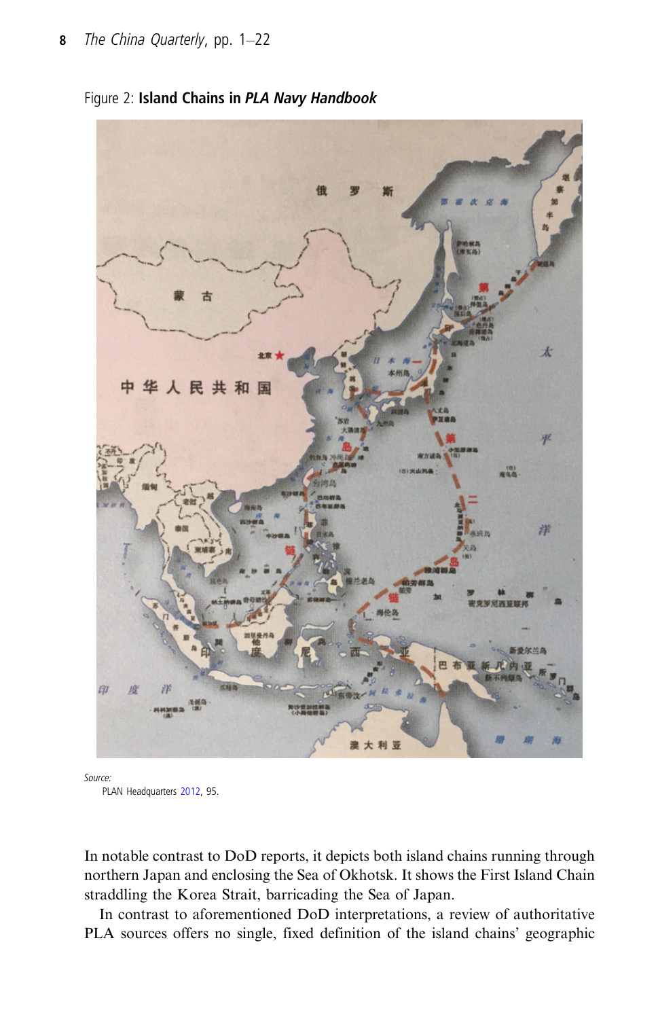

<span id="page-8-0"></span>Figure 2: Island Chains in PLA Navy Handbook

Source: PLAN Headquarters [2012,](#page-21-0) 95.

In notable contrast to DoD reports, it depicts both island chains running through northern Japan and enclosing the Sea of Okhotsk. It shows the First Island Chain straddling the Korea Strait, barricading the Sea of Japan.

In contrast to aforementioned DoD interpretations, a review of authoritative PLA sources offers no single, fixed definition of the island chains' geographic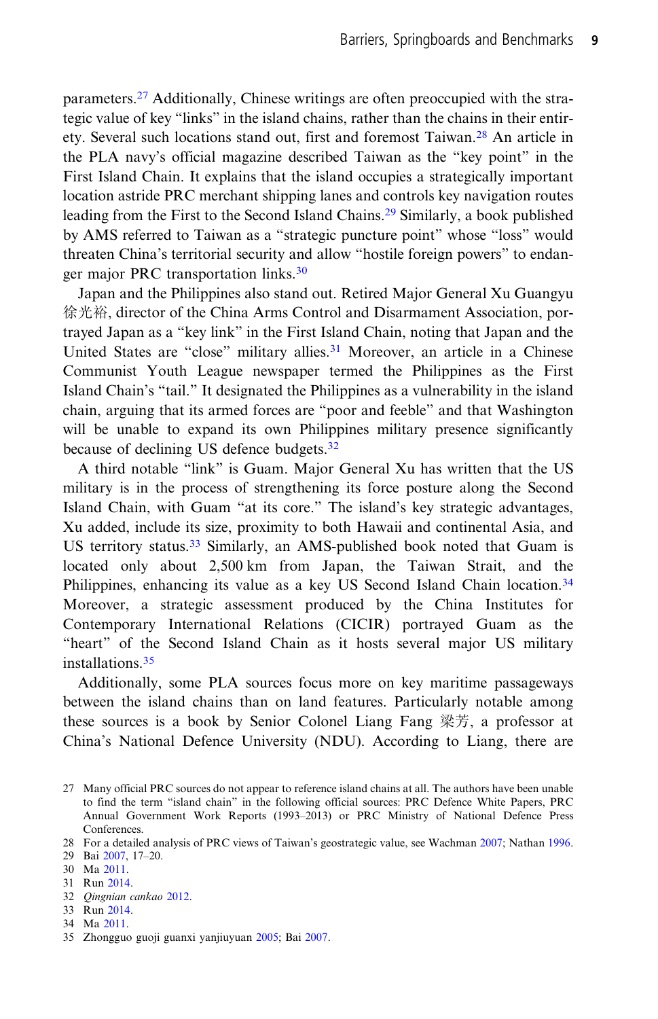parameters.27 Additionally, Chinese writings are often preoccupied with the strategic value of key "links" in the island chains, rather than the chains in their entirety. Several such locations stand out, first and foremost Taiwan.<sup>28</sup> An article in the PLA navy's official magazine described Taiwan as the "key point" in the First Island Chain. It explains that the island occupies a strategically important location astride PRC merchant shipping lanes and controls key navigation routes leading from the First to the Second Island Chains.29 Similarly, a book published by AMS referred to Taiwan as a "strategic puncture point" whose "loss" would threaten China's territorial security and allow "hostile foreign powers" to endanger major PRC transportation links.<sup>30</sup>

Japan and the Philippines also stand out. Retired Major General Xu Guangyu 徐光裕, director of the China Arms Control and Disarmament Association, portrayed Japan as a "key link" in the First Island Chain, noting that Japan and the United States are "close" military allies.<sup>31</sup> Moreover, an article in a Chinese Communist Youth League newspaper termed the Philippines as the First Island Chain's "tail." It designated the Philippines as a vulnerability in the island chain, arguing that its armed forces are "poor and feeble" and that Washington will be unable to expand its own Philippines military presence significantly because of declining US defence budgets.<sup>32</sup>

A third notable "link" is Guam. Major General Xu has written that the US military is in the process of strengthening its force posture along the Second Island Chain, with Guam "at its core." The island's key strategic advantages, Xu added, include its size, proximity to both Hawaii and continental Asia, and US territory status.<sup>33</sup> Similarly, an AMS-published book noted that Guam is located only about 2,500 km from Japan, the Taiwan Strait, and the Philippines, enhancing its value as a key US Second Island Chain location.<sup>34</sup> Moreover, a strategic assessment produced by the China Institutes for Contemporary International Relations (CICIR) portrayed Guam as the "heart" of the Second Island Chain as it hosts several major US military installations 35

Additionally, some PLA sources focus more on key maritime passageways between the island chains than on land features. Particularly notable among these sources is a book by Senior Colonel Liang Fang 梁芳, a professor at China's National Defence University (NDU). According to Liang, there are

- 31 Run [2014.](#page-21-0)
- 32 Qingnian cankao [2012](#page-21-0).
- 33 Run [2014.](#page-21-0)
- 34 Ma [2011](#page-20-0).

<sup>27</sup> Many official PRC sources do not appear to reference island chains at all. The authors have been unable to find the term "island chain" in the following official sources: PRC Defence White Papers, PRC Annual Government Work Reports (1993–2013) or PRC Ministry of National Defence Press Conferences.

<sup>28</sup> For a detailed analysis of PRC views of Taiwan's geostrategic value, see Wachman [2007;](#page-21-0) Nathan [1996.](#page-20-0)

<sup>29</sup> Bai [2007,](#page-19-0) 17–20.

<sup>30</sup> Ma [2011](#page-20-0).

<sup>35</sup> Zhongguo guoji guanxi yanjiuyuan [2005](#page-21-0); Bai [2007.](#page-19-0)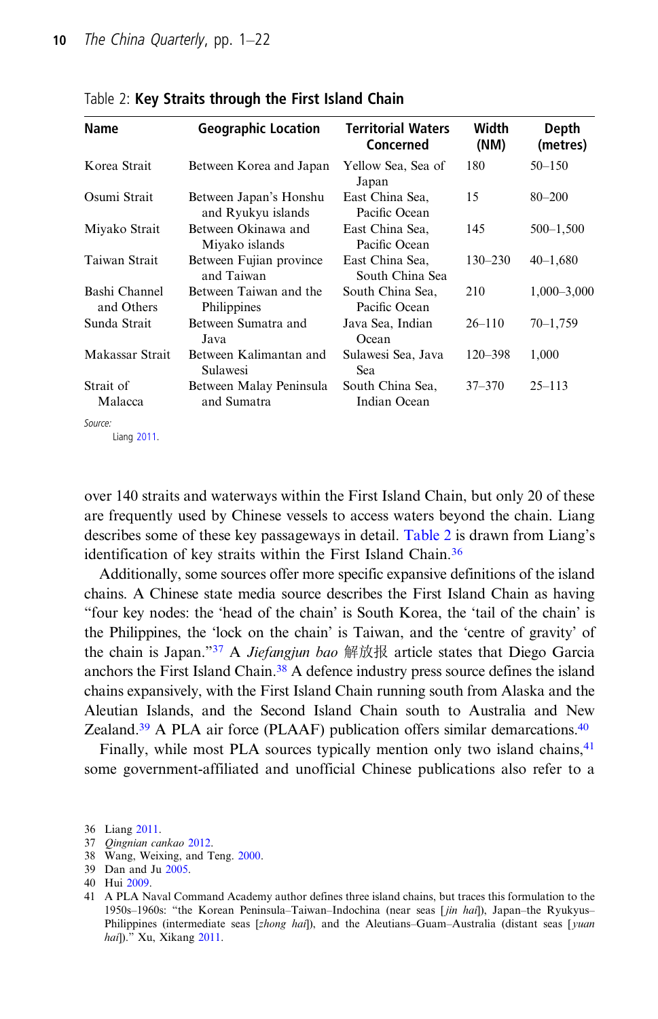| Name                        | <b>Geographic Location</b>                   | <b>Territorial Waters</b><br>Concerned | Width<br>(NM) | Depth<br>(metres) |
|-----------------------------|----------------------------------------------|----------------------------------------|---------------|-------------------|
| Korea Strait                | Between Korea and Japan                      | Yellow Sea, Sea of<br>Japan            | 180           | $50 - 150$        |
| Osumi Strait                | Between Japan's Honshu<br>and Ryukyu islands | East China Sea,<br>Pacific Ocean       | 15            | $80 - 200$        |
| Miyako Strait               | Between Okinawa and<br>Miyako islands        | East China Sea,<br>Pacific Ocean       | 145           | $500 - 1,500$     |
| Taiwan Strait               | Between Fujian province<br>and Taiwan        | East China Sea,<br>South China Sea     | 130–230       | $40 - 1,680$      |
| Bashi Channel<br>and Others | Between Taiwan and the<br>Philippines        | South China Sea,<br>Pacific Ocean      | 210           | $1,000 - 3,000$   |
| Sunda Strait                | Between Sumatra and<br>Java                  | Java Sea, Indian<br>Ocean              | $26 - 110$    | $70 - 1,759$      |
| Makassar Strait             | Between Kalimantan and<br>Sulawesi           | Sulawesi Sea, Java<br>Sea              | 120–398       | 1,000             |
| Strait of<br>Malacca        | Between Malay Peninsula<br>and Sumatra       | South China Sea,<br>Indian Ocean       | $37 - 370$    | $25 - 113$        |
| Source:                     |                                              |                                        |               |                   |

Table 2: Key Straits through the First Island Chain

Liang [2011.](#page-20-0)

over 140 straits and waterways within the First Island Chain, but only 20 of these are frequently used by Chinese vessels to access waters beyond the chain. Liang describes some of these key passageways in detail. Table 2 is drawn from Liang's identification of key straits within the First Island Chain.<sup>36</sup>

Additionally, some sources offer more specific expansive definitions of the island chains. A Chinese state media source describes the First Island Chain as having "four key nodes: the 'head of the chain' is South Korea, the 'tail of the chain' is the Philippines, the 'lock on the chain' is Taiwan, and the 'centre of gravity' of the chain is Japan."<sup>37</sup> A *Jiefangjun bao* 解放报 article states that Diego Garcia anchors the First Island Chain.38 A defence industry press source defines the island chains expansively, with the First Island Chain running south from Alaska and the Aleutian Islands, and the Second Island Chain south to Australia and New Zealand.39 A PLA air force (PLAAF) publication offers similar demarcations.40

Finally, while most PLA sources typically mention only two island chains, <sup>41</sup> some government-affiliated and unofficial Chinese publications also refer to a

<sup>36</sup> Liang [2011.](#page-20-0)

<sup>37</sup> Qingnian cankao [2012.](#page-21-0)

<sup>38</sup> Wang, Weixing, and Teng. [2000](#page-21-0).

<sup>39</sup> Dan and Ju [2005.](#page-19-0)

<sup>40</sup> Hui [2009.](#page-20-0)

<sup>41</sup> A PLA Naval Command Academy author defines three island chains, but traces this formulation to the 1950s–1960s: "the Korean Peninsula–Taiwan–Indochina (near seas [ jin hai]), Japan–the Ryukyus– Philippines (intermediate seas [*zhong hai*]), and the Aleutians–Guam–Australia (distant seas [*yuan* hai])." Xu, Xikang [2011](#page-21-0).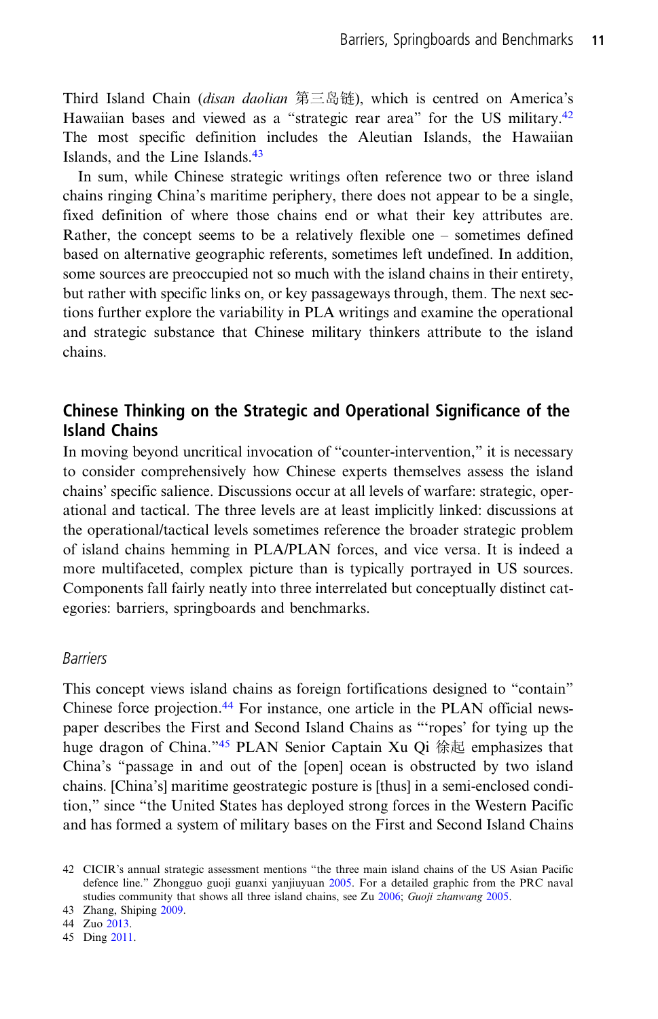Third Island Chain (disan daolian 第三岛链), which is centred on America's Hawaiian bases and viewed as a "strategic rear area" for the US military.<sup>42</sup> The most specific definition includes the Aleutian Islands, the Hawaiian Islands, and the Line Islands.<sup>43</sup>

In sum, while Chinese strategic writings often reference two or three island chains ringing China's maritime periphery, there does not appear to be a single, fixed definition of where those chains end or what their key attributes are. Rather, the concept seems to be a relatively flexible one – sometimes defined based on alternative geographic referents, sometimes left undefined. In addition, some sources are preoccupied not so much with the island chains in their entirety, but rather with specific links on, or key passageways through, them. The next sections further explore the variability in PLA writings and examine the operational and strategic substance that Chinese military thinkers attribute to the island chains.

## Chinese Thinking on the Strategic and Operational Significance of the Island Chains

In moving beyond uncritical invocation of "counter-intervention," it is necessary to consider comprehensively how Chinese experts themselves assess the island chains' specific salience. Discussions occur at all levels of warfare: strategic, operational and tactical. The three levels are at least implicitly linked: discussions at the operational/tactical levels sometimes reference the broader strategic problem of island chains hemming in PLA/PLAN forces, and vice versa. It is indeed a more multifaceted, complex picture than is typically portrayed in US sources. Components fall fairly neatly into three interrelated but conceptually distinct categories: barriers, springboards and benchmarks.

#### Barriers

This concept views island chains as foreign fortifications designed to "contain" Chinese force projection.<sup>44</sup> For instance, one article in the PLAN official newspaper describes the First and Second Island Chains as "'ropes' for tying up the huge dragon of China."<sup>45</sup> PLAN Senior Captain Xu Qi 徐起 emphasizes that China's "passage in and out of the [open] ocean is obstructed by two island chains. [China's] maritime geostrategic posture is [thus] in a semi-enclosed condition," since "the United States has deployed strong forces in the Western Pacific and has formed a system of military bases on the First and Second Island Chains

43 Zhang, Shiping [2009](#page-21-0).

44 Zuo [2013](#page-22-0).

45 Ding [2011](#page-19-0).

<sup>42</sup> CICIR's annual strategic assessment mentions "the three main island chains of the US Asian Pacific defence line." Zhongguo guoji guanxi yanjiuyuan [2005.](#page-21-0) For a detailed graphic from the PRC naval studies community that shows all three island chains, see Zu [2006;](#page-22-0) Guoji zhanwang [2005.](#page-20-0)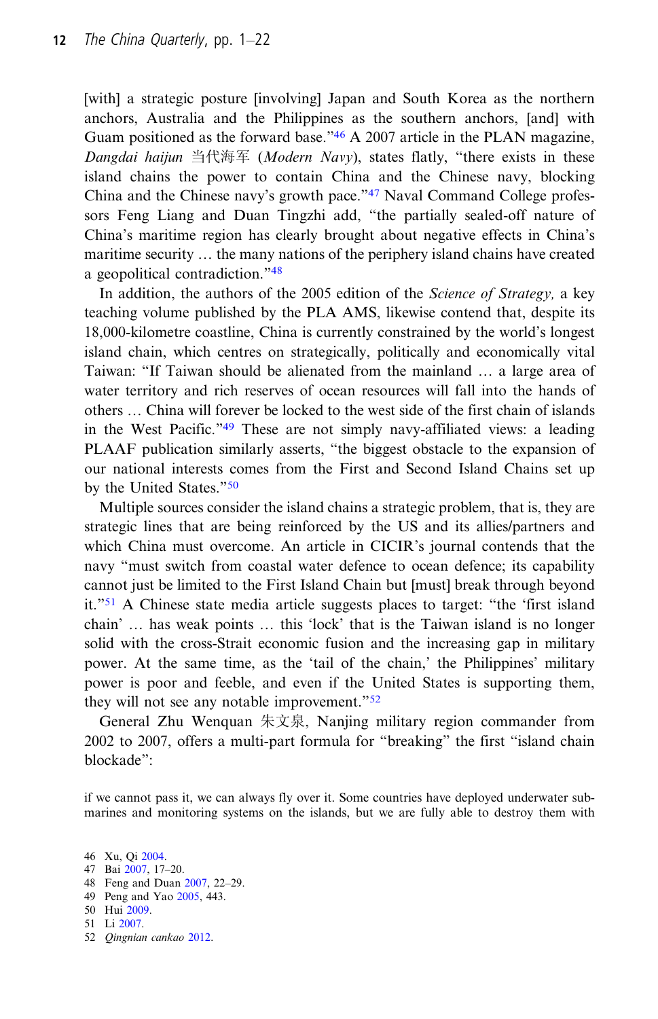[with] a strategic posture [involving] Japan and South Korea as the northern anchors, Australia and the Philippines as the southern anchors, [and] with Guam positioned as the forward base."<sup>46</sup> A 2007 article in the PLAN magazine, Dangdai haijun 当代海军 (Modern Navy), states flatly, "there exists in these island chains the power to contain China and the Chinese navy, blocking China and the Chinese navy's growth pace."<sup>47</sup> Naval Command College professors Feng Liang and Duan Tingzhi add, "the partially sealed-off nature of China's maritime region has clearly brought about negative effects in China's maritime security … the many nations of the periphery island chains have created a geopolitical contradiction."<sup>48</sup>

In addition, the authors of the 2005 edition of the Science of Strategy, a key teaching volume published by the PLA AMS, likewise contend that, despite its 18,000-kilometre coastline, China is currently constrained by the world's longest island chain, which centres on strategically, politically and economically vital Taiwan: "If Taiwan should be alienated from the mainland … a large area of water territory and rich reserves of ocean resources will fall into the hands of others … China will forever be locked to the west side of the first chain of islands in the West Pacific."<sup>49</sup> These are not simply navy-affiliated views: a leading PLAAF publication similarly asserts, "the biggest obstacle to the expansion of our national interests comes from the First and Second Island Chains set up by the United States."<sup>50</sup>

Multiple sources consider the island chains a strategic problem, that is, they are strategic lines that are being reinforced by the US and its allies/partners and which China must overcome. An article in CICIR's journal contends that the navy "must switch from coastal water defence to ocean defence; its capability cannot just be limited to the First Island Chain but [must] break through beyond it."<sup>51</sup> A Chinese state media article suggests places to target: "the 'first island chain' … has weak points … this 'lock' that is the Taiwan island is no longer solid with the cross-Strait economic fusion and the increasing gap in military power. At the same time, as the 'tail of the chain,' the Philippines' military power is poor and feeble, and even if the United States is supporting them, they will not see any notable improvement."<sup>52</sup>

General Zhu Wenquan 朱文泉, Nanjing military region commander from 2002 to 2007, offers a multi-part formula for "breaking" the first "island chain blockade":

if we cannot pass it, we can always fly over it. Some countries have deployed underwater submarines and monitoring systems on the islands, but we are fully able to destroy them with

52 Qingnian cankao [2012.](#page-21-0)

<sup>46</sup> Xu, Qi [2004.](#page-21-0)

<sup>47</sup> Bai [2007](#page-19-0), 17–20.

<sup>48</sup> Feng and Duan [2007](#page-20-0), 22–29.

<sup>49</sup> Peng and Yao [2005](#page-21-0), 443.

<sup>50</sup> Hui [2009.](#page-20-0)

<sup>51</sup> Li [2007](#page-20-0).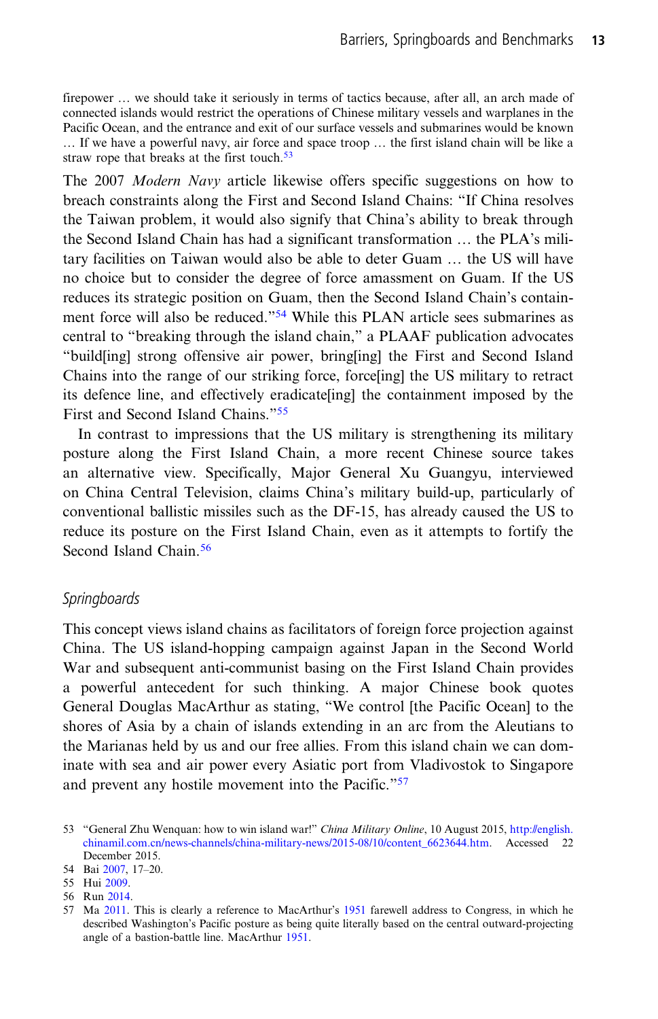firepower … we should take it seriously in terms of tactics because, after all, an arch made of connected islands would restrict the operations of Chinese military vessels and warplanes in the Pacific Ocean, and the entrance and exit of our surface vessels and submarines would be known … If we have a powerful navy, air force and space troop … the first island chain will be like a straw rope that breaks at the first touch.<sup>53</sup>

The 2007 Modern Navy article likewise offers specific suggestions on how to breach constraints along the First and Second Island Chains: "If China resolves the Taiwan problem, it would also signify that China's ability to break through the Second Island Chain has had a significant transformation … the PLA's military facilities on Taiwan would also be able to deter Guam … the US will have no choice but to consider the degree of force amassment on Guam. If the US reduces its strategic position on Guam, then the Second Island Chain's containment force will also be reduced."<sup>54</sup> While this PLAN article sees submarines as central to "breaking through the island chain," a PLAAF publication advocates "build[ing] strong offensive air power, bring[ing] the First and Second Island Chains into the range of our striking force, force[ing] the US military to retract its defence line, and effectively eradicate[ing] the containment imposed by the First and Second Island Chains."<sup>55</sup>

In contrast to impressions that the US military is strengthening its military posture along the First Island Chain, a more recent Chinese source takes an alternative view. Specifically, Major General Xu Guangyu, interviewed on China Central Television, claims China's military build-up, particularly of conventional ballistic missiles such as the DF-15, has already caused the US to reduce its posture on the First Island Chain, even as it attempts to fortify the Second Island Chain.<sup>56</sup>

## **Springboards**

This concept views island chains as facilitators of foreign force projection against China. The US island-hopping campaign against Japan in the Second World War and subsequent anti-communist basing on the First Island Chain provides a powerful antecedent for such thinking. A major Chinese book quotes General Douglas MacArthur as stating, "We control [the Pacific Ocean] to the shores of Asia by a chain of islands extending in an arc from the Aleutians to the Marianas held by us and our free allies. From this island chain we can dominate with sea and air power every Asiatic port from Vladivostok to Singapore and prevent any hostile movement into the Pacific."<sup>57</sup>

56 Run [2014.](#page-21-0)

<sup>53</sup> "General Zhu Wenquan: how to win island war!" China Military Online, 10 August 2015, [http://english.](http://english.chinamil.com.cn/news-channels/china-military-news/2015-08/10/content_6623644.htm) [chinamil.com.cn/news-channels/china-military-news/2015-08/10/content\\_6623644.htm.](http://english.chinamil.com.cn/news-channels/china-military-news/2015-08/10/content_6623644.htm) Accessed 22 December 2015.

<sup>54</sup> Bai [2007,](#page-19-0) 17–20.

<sup>55</sup> Hui [2009](#page-20-0).

<sup>57</sup> Ma [2011.](#page-20-0) This is clearly a reference to MacArthur's [1951](#page-20-0) farewell address to Congress, in which he described Washington's Pacific posture as being quite literally based on the central outward-projecting angle of a bastion-battle line. MacArthur [1951.](#page-20-0)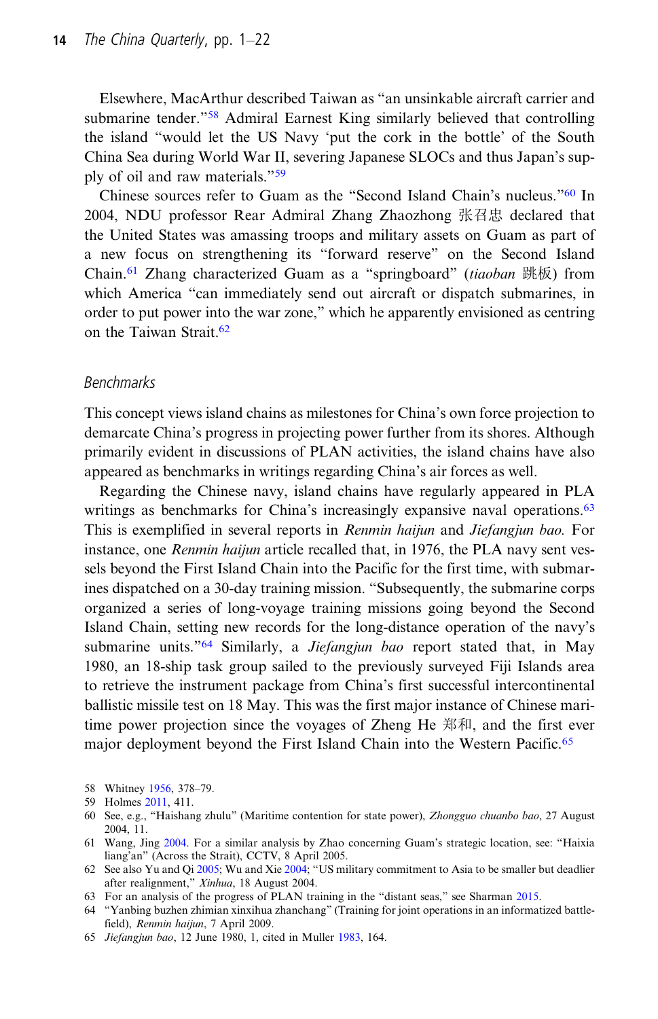Elsewhere, MacArthur described Taiwan as "an unsinkable aircraft carrier and submarine tender."<sup>58</sup> Admiral Earnest King similarly believed that controlling the island "would let the US Navy 'put the cork in the bottle' of the South China Sea during World War II, severing Japanese SLOCs and thus Japan's supply of oil and raw materials."<sup>59</sup>

Chinese sources refer to Guam as the "Second Island Chain's nucleus."<sup>60</sup> In 2004, NDU professor Rear Admiral Zhang Zhaozhong 张召忠 declared that the United States was amassing troops and military assets on Guam as part of a new focus on strengthening its "forward reserve" on the Second Island Chain.<sup>61</sup> Zhang characterized Guam as a "springboard" *(tiaoban* 跳板) from which America "can immediately send out aircraft or dispatch submarines, in order to put power into the war zone," which he apparently envisioned as centring on the Taiwan Strait.<sup>62</sup>

#### **Benchmarks**

This concept views island chains as milestones for China's own force projection to demarcate China's progress in projecting power further from its shores. Although primarily evident in discussions of PLAN activities, the island chains have also appeared as benchmarks in writings regarding China's air forces as well.

Regarding the Chinese navy, island chains have regularly appeared in PLA writings as benchmarks for China's increasingly expansive naval operations.<sup>63</sup> This is exemplified in several reports in Renmin haijun and Jiefangjun bao. For instance, one *Renmin haijun* article recalled that, in 1976, the PLA navy sent vessels beyond the First Island Chain into the Pacific for the first time, with submarines dispatched on a 30-day training mission. "Subsequently, the submarine corps organized a series of long-voyage training missions going beyond the Second Island Chain, setting new records for the long-distance operation of the navy's submarine units."<sup>64</sup> Similarly, a *Jiefangjun bao* report stated that, in May 1980, an 18-ship task group sailed to the previously surveyed Fiji Islands area to retrieve the instrument package from China's first successful intercontinental ballistic missile test on 18 May. This was the first major instance of Chinese maritime power projection since the voyages of Zheng He 郑和, and the first ever major deployment beyond the First Island Chain into the Western Pacific.<sup>65</sup>

58 Whitney [1956](#page-21-0), 378–79.

<sup>59</sup> Holmes [2011,](#page-20-0) 411.

<sup>60</sup> See, e.g., "Haishang zhulu" (Maritime contention for state power), Zhongguo chuanbo bao, 27 August 2004, 11.

<sup>61</sup> Wang, Jing [2004](#page-21-0). For a similar analysis by Zhao concerning Guam's strategic location, see: "Haixia liang'an" (Across the Strait), CCTV, 8 April 2005.

<sup>62</sup> See also Yu and Qi [2005](#page-21-0); Wu and Xie [2004](#page-21-0); "US military commitment to Asia to be smaller but deadlier after realignment," Xinhua, 18 August 2004.

<sup>63</sup> For an analysis of the progress of PLAN training in the "distant seas," see Sharman [2015.](#page-21-0)

<sup>64</sup> "Yanbing buzhen zhimian xinxihua zhanchang" (Training for joint operations in an informatized battlefield), Renmin haijun, 7 April 2009.

<sup>65</sup> Jiefangjun bao, 12 June 1980, 1, cited in Muller [1983,](#page-20-0) 164.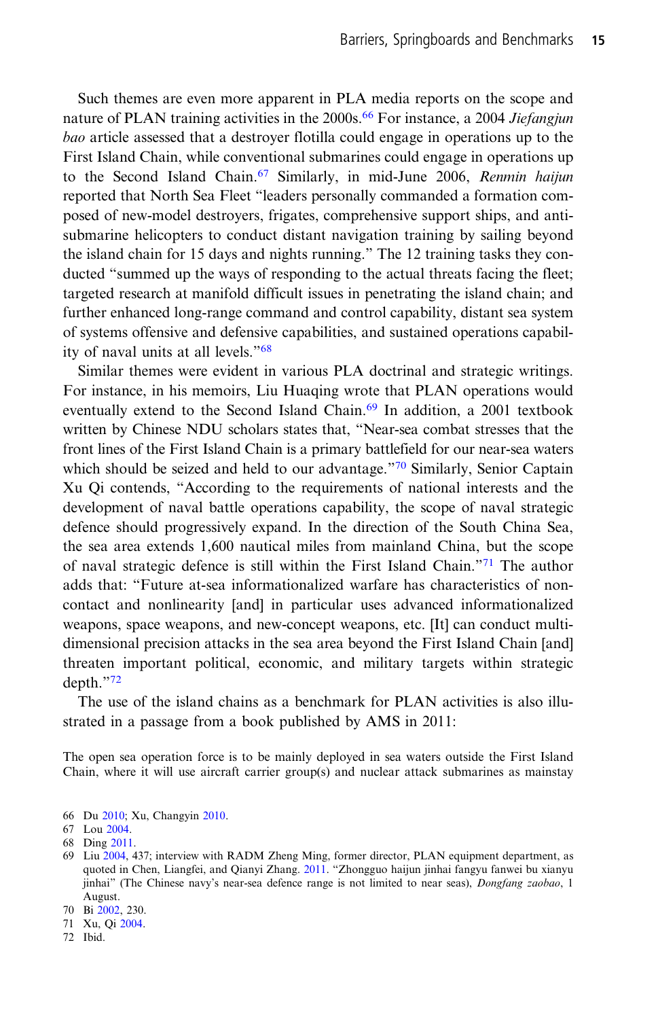Such themes are even more apparent in PLA media reports on the scope and nature of PLAN training activities in the 2000s.<sup>66</sup> For instance, a 2004 *Jiefangjun* bao article assessed that a destroyer flotilla could engage in operations up to the First Island Chain, while conventional submarines could engage in operations up to the Second Island Chain.<sup>67</sup> Similarly, in mid-June 2006, Renmin haijun reported that North Sea Fleet "leaders personally commanded a formation composed of new-model destroyers, frigates, comprehensive support ships, and antisubmarine helicopters to conduct distant navigation training by sailing beyond the island chain for 15 days and nights running." The 12 training tasks they conducted "summed up the ways of responding to the actual threats facing the fleet; targeted research at manifold difficult issues in penetrating the island chain; and further enhanced long-range command and control capability, distant sea system of systems offensive and defensive capabilities, and sustained operations capability of naval units at all levels."<sup>68</sup>

Similar themes were evident in various PLA doctrinal and strategic writings. For instance, in his memoirs, Liu Huaqing wrote that PLAN operations would eventually extend to the Second Island Chain.<sup>69</sup> In addition, a 2001 textbook written by Chinese NDU scholars states that, "Near-sea combat stresses that the front lines of the First Island Chain is a primary battlefield for our near-sea waters which should be seized and held to our advantage."<sup>70</sup> Similarly, Senior Captain Xu Qi contends, "According to the requirements of national interests and the development of naval battle operations capability, the scope of naval strategic defence should progressively expand. In the direction of the South China Sea, the sea area extends 1,600 nautical miles from mainland China, but the scope of naval strategic defence is still within the First Island Chain."<sup>71</sup> The author adds that: "Future at-sea informationalized warfare has characteristics of noncontact and nonlinearity [and] in particular uses advanced informationalized weapons, space weapons, and new-concept weapons, etc. [It] can conduct multidimensional precision attacks in the sea area beyond the First Island Chain [and] threaten important political, economic, and military targets within strategic depth."<sup>72</sup>

The use of the island chains as a benchmark for PLAN activities is also illustrated in a passage from a book published by AMS in 2011:

The open sea operation force is to be mainly deployed in sea waters outside the First Island Chain, where it will use aircraft carrier group(s) and nuclear attack submarines as mainstay

72 Ibid.

<sup>66</sup> Du [2010](#page-19-0); Xu, Changyin [2010.](#page-21-0)

<sup>67</sup> Lou [2004](#page-20-0).

<sup>68</sup> Ding [2011](#page-19-0).

<sup>69</sup> Liu [2004,](#page-20-0) 437; interview with RADM Zheng Ming, former director, PLAN equipment department, as quoted in Chen, Liangfei, and Qianyi Zhang. [2011.](#page-19-0) "Zhongguo haijun jinhai fangyu fanwei bu xianyu jinhai" (The Chinese navy's near-sea defence range is not limited to near seas), Dongfang zaobao, 1 August.

<sup>70</sup> Bi [2002](#page-19-0), 230.

<sup>71</sup> Xu, Qi [2004](#page-21-0).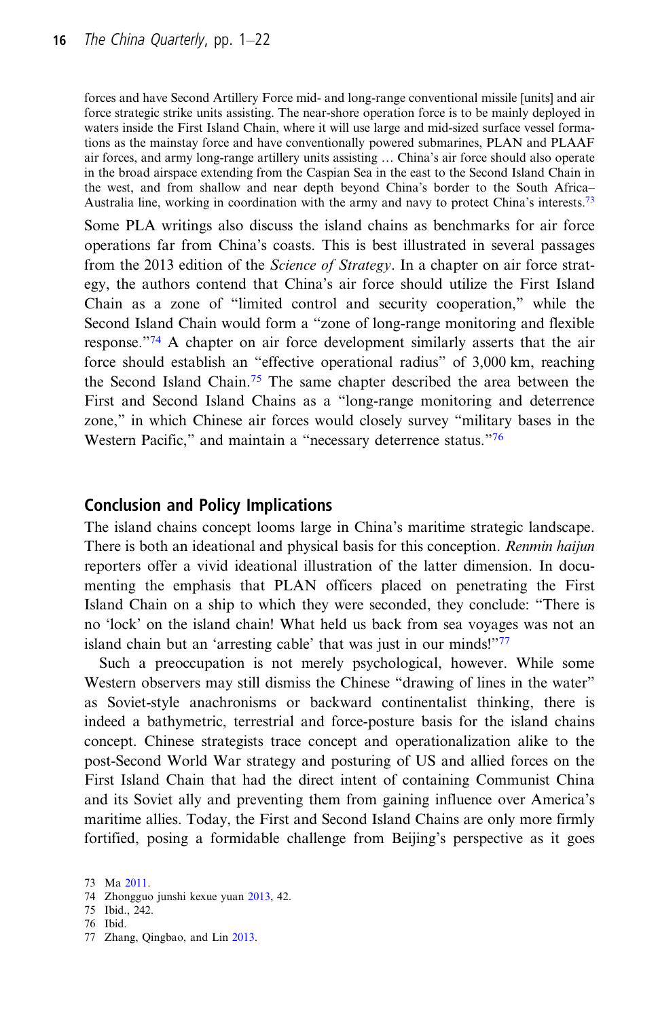forces and have Second Artillery Force mid- and long-range conventional missile [units] and air force strategic strike units assisting. The near-shore operation force is to be mainly deployed in waters inside the First Island Chain, where it will use large and mid-sized surface vessel formations as the mainstay force and have conventionally powered submarines, PLAN and PLAAF air forces, and army long-range artillery units assisting … China's air force should also operate in the broad airspace extending from the Caspian Sea in the east to the Second Island Chain in the west, and from shallow and near depth beyond China's border to the South Africa– Australia line, working in coordination with the army and navy to protect China's interests.73

Some PLA writings also discuss the island chains as benchmarks for air force operations far from China's coasts. This is best illustrated in several passages from the 2013 edition of the Science of Strategy. In a chapter on air force strategy, the authors contend that China's air force should utilize the First Island Chain as a zone of "limited control and security cooperation," while the Second Island Chain would form a "zone of long-range monitoring and flexible response."<sup>74</sup> A chapter on air force development similarly asserts that the air force should establish an "effective operational radius" of 3,000 km, reaching the Second Island Chain.<sup>75</sup> The same chapter described the area between the First and Second Island Chains as a "long-range monitoring and deterrence zone," in which Chinese air forces would closely survey "military bases in the Western Pacific," and maintain a "necessary deterrence status."76

## Conclusion and Policy Implications

The island chains concept looms large in China's maritime strategic landscape. There is both an ideational and physical basis for this conception. Renmin haijun reporters offer a vivid ideational illustration of the latter dimension. In documenting the emphasis that PLAN officers placed on penetrating the First Island Chain on a ship to which they were seconded, they conclude: "There is no 'lock' on the island chain! What held us back from sea voyages was not an island chain but an 'arresting cable' that was just in our minds!"<sup>77</sup>

Such a preoccupation is not merely psychological, however. While some Western observers may still dismiss the Chinese "drawing of lines in the water" as Soviet-style anachronisms or backward continentalist thinking, there is indeed a bathymetric, terrestrial and force-posture basis for the island chains concept. Chinese strategists trace concept and operationalization alike to the post-Second World War strategy and posturing of US and allied forces on the First Island Chain that had the direct intent of containing Communist China and its Soviet ally and preventing them from gaining influence over America's maritime allies. Today, the First and Second Island Chains are only more firmly fortified, posing a formidable challenge from Beijing's perspective as it goes

- 74 Zhongguo junshi kexue yuan [2013,](#page-22-0) 42.
- 75 Ibid., 242.
- 76 Ibid.
- 77 Zhang, Qingbao, and Lin [2013](#page-21-0).

<sup>73</sup> Ma [2011.](#page-20-0)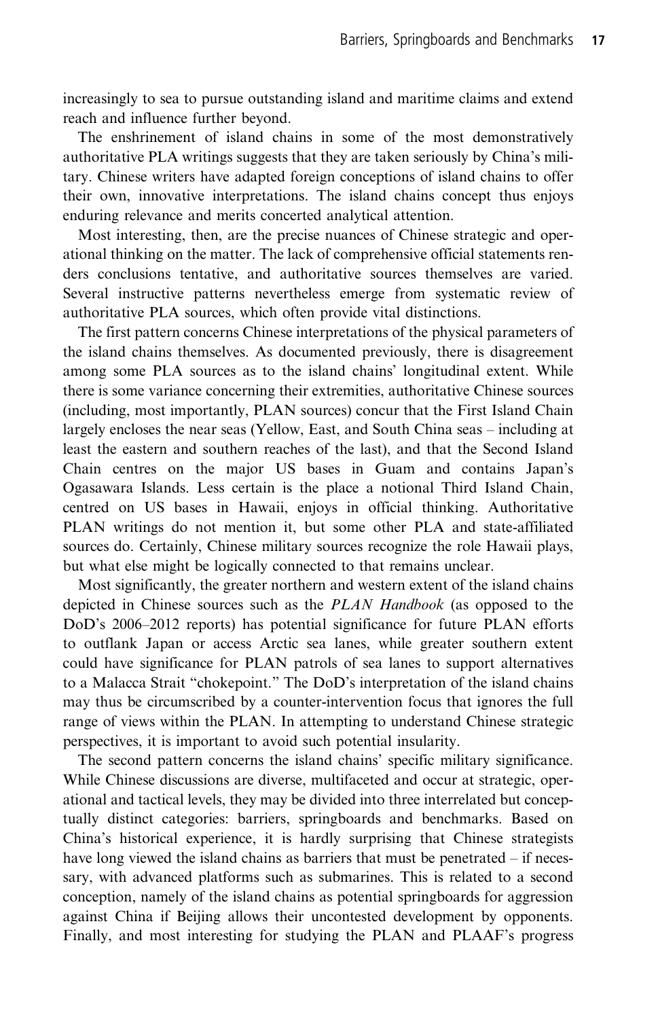increasingly to sea to pursue outstanding island and maritime claims and extend reach and influence further beyond.

The enshrinement of island chains in some of the most demonstratively authoritative PLA writings suggests that they are taken seriously by China's military. Chinese writers have adapted foreign conceptions of island chains to offer their own, innovative interpretations. The island chains concept thus enjoys enduring relevance and merits concerted analytical attention.

Most interesting, then, are the precise nuances of Chinese strategic and operational thinking on the matter. The lack of comprehensive official statements renders conclusions tentative, and authoritative sources themselves are varied. Several instructive patterns nevertheless emerge from systematic review of authoritative PLA sources, which often provide vital distinctions.

The first pattern concerns Chinese interpretations of the physical parameters of the island chains themselves. As documented previously, there is disagreement among some PLA sources as to the island chains' longitudinal extent. While there is some variance concerning their extremities, authoritative Chinese sources (including, most importantly, PLAN sources) concur that the First Island Chain largely encloses the near seas (Yellow, East, and South China seas – including at least the eastern and southern reaches of the last), and that the Second Island Chain centres on the major US bases in Guam and contains Japan's Ogasawara Islands. Less certain is the place a notional Third Island Chain, centred on US bases in Hawaii, enjoys in official thinking. Authoritative PLAN writings do not mention it, but some other PLA and state-affiliated sources do. Certainly, Chinese military sources recognize the role Hawaii plays, but what else might be logically connected to that remains unclear.

Most significantly, the greater northern and western extent of the island chains depicted in Chinese sources such as the PLAN Handbook (as opposed to the DoD's 2006–2012 reports) has potential significance for future PLAN efforts to outflank Japan or access Arctic sea lanes, while greater southern extent could have significance for PLAN patrols of sea lanes to support alternatives to a Malacca Strait "chokepoint." The DoD's interpretation of the island chains may thus be circumscribed by a counter-intervention focus that ignores the full range of views within the PLAN. In attempting to understand Chinese strategic perspectives, it is important to avoid such potential insularity.

The second pattern concerns the island chains' specific military significance. While Chinese discussions are diverse, multifaceted and occur at strategic, operational and tactical levels, they may be divided into three interrelated but conceptually distinct categories: barriers, springboards and benchmarks. Based on China's historical experience, it is hardly surprising that Chinese strategists have long viewed the island chains as barriers that must be penetrated – if necessary, with advanced platforms such as submarines. This is related to a second conception, namely of the island chains as potential springboards for aggression against China if Beijing allows their uncontested development by opponents. Finally, and most interesting for studying the PLAN and PLAAF's progress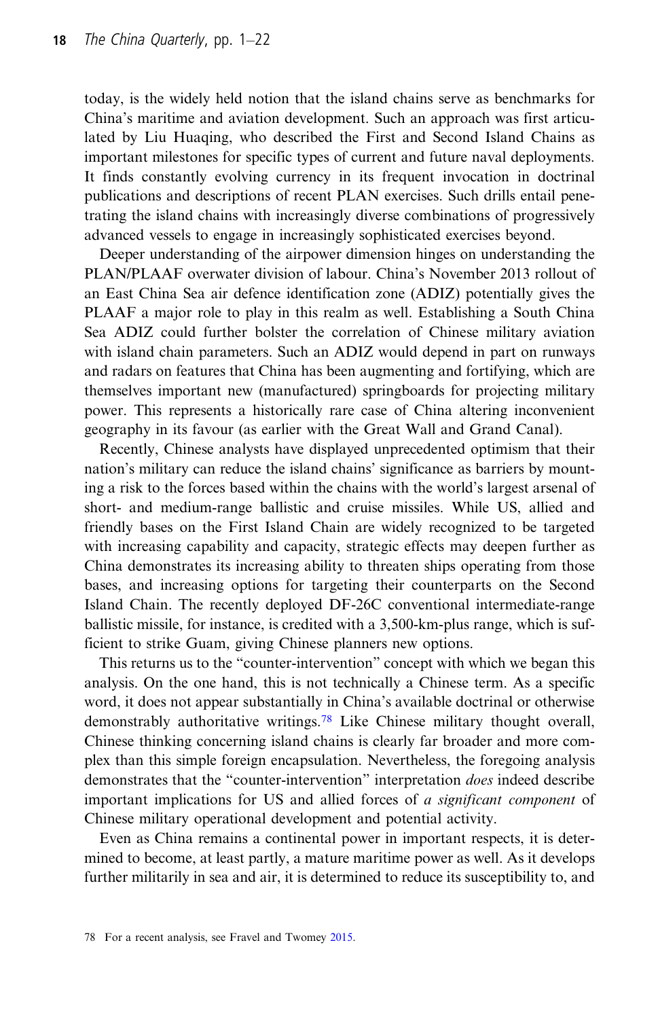today, is the widely held notion that the island chains serve as benchmarks for China's maritime and aviation development. Such an approach was first articulated by Liu Huaqing, who described the First and Second Island Chains as important milestones for specific types of current and future naval deployments. It finds constantly evolving currency in its frequent invocation in doctrinal publications and descriptions of recent PLAN exercises. Such drills entail penetrating the island chains with increasingly diverse combinations of progressively advanced vessels to engage in increasingly sophisticated exercises beyond.

Deeper understanding of the airpower dimension hinges on understanding the PLAN/PLAAF overwater division of labour. China's November 2013 rollout of an East China Sea air defence identification zone (ADIZ) potentially gives the PLAAF a major role to play in this realm as well. Establishing a South China Sea ADIZ could further bolster the correlation of Chinese military aviation with island chain parameters. Such an ADIZ would depend in part on runways and radars on features that China has been augmenting and fortifying, which are themselves important new (manufactured) springboards for projecting military power. This represents a historically rare case of China altering inconvenient geography in its favour (as earlier with the Great Wall and Grand Canal).

Recently, Chinese analysts have displayed unprecedented optimism that their nation's military can reduce the island chains' significance as barriers by mounting a risk to the forces based within the chains with the world's largest arsenal of short- and medium-range ballistic and cruise missiles. While US, allied and friendly bases on the First Island Chain are widely recognized to be targeted with increasing capability and capacity, strategic effects may deepen further as China demonstrates its increasing ability to threaten ships operating from those bases, and increasing options for targeting their counterparts on the Second Island Chain. The recently deployed DF-26C conventional intermediate-range ballistic missile, for instance, is credited with a 3,500-km-plus range, which is sufficient to strike Guam, giving Chinese planners new options.

This returns us to the "counter-intervention" concept with which we began this analysis. On the one hand, this is not technically a Chinese term. As a specific word, it does not appear substantially in China's available doctrinal or otherwise demonstrably authoritative writings.<sup>78</sup> Like Chinese military thought overall, Chinese thinking concerning island chains is clearly far broader and more complex than this simple foreign encapsulation. Nevertheless, the foregoing analysis demonstrates that the "counter-intervention" interpretation does indeed describe important implications for US and allied forces of a significant component of Chinese military operational development and potential activity.

Even as China remains a continental power in important respects, it is determined to become, at least partly, a mature maritime power as well. As it develops further militarily in sea and air, it is determined to reduce its susceptibility to, and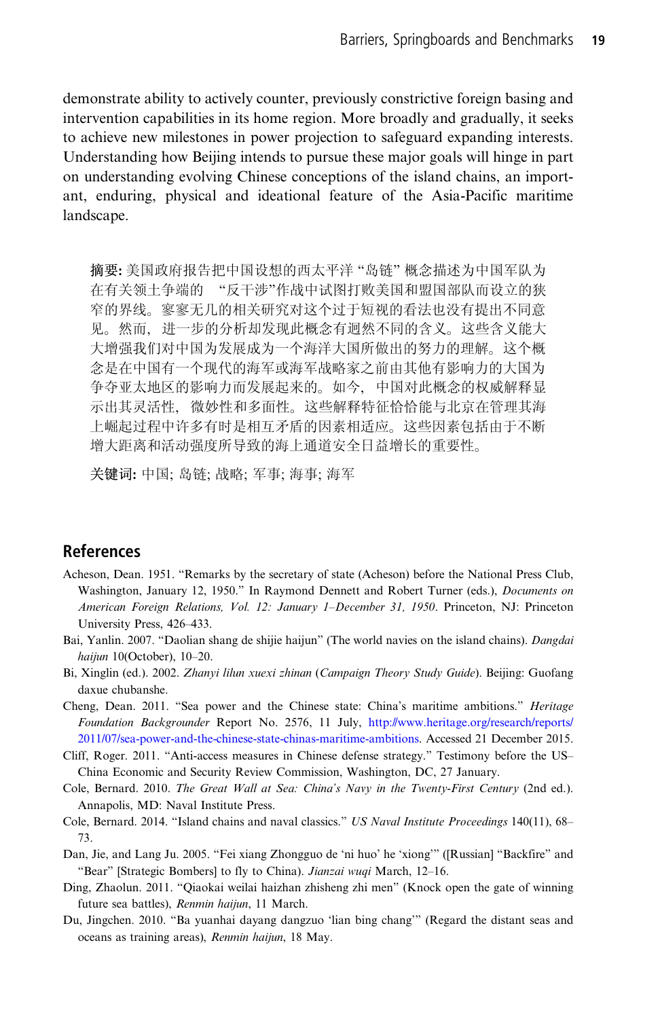<span id="page-19-0"></span>demonstrate ability to actively counter, previously constrictive foreign basing and intervention capabilities in its home region. More broadly and gradually, it seeks to achieve new milestones in power projection to safeguard expanding interests. Understanding how Beijing intends to pursue these major goals will hinge in part on understanding evolving Chinese conceptions of the island chains, an important, enduring, physical and ideational feature of the Asia-Pacific maritime landscape.

摘要: 美国政府报告把中国设想的西太平洋 "岛链" 概念描述为中国军队为 在有关领土争端的 "反干涉"作战中试图打败美国和盟国部队而设立的狭 窄的界线。寥寥无几的相关研究对这个过于短视的看法也没有提出不同意 见。然而, 进一步的分析却发现此概念有迥然不同的含义。这些含义能大 大增强我们对中国为发展成为一个海洋大国所做出的努力的理解。这个概 念是在中国有一个现代的海军或海军战略家之前由其他有影响力的大国为 争夺亚太地区的影响力而发展起来的。如今, 中国对此概念的权威解释显 示出其灵活性, 微妙性和多面性。这些解释特征恰恰能与北京在管理其海 上崛起过程中许多有时是相互矛盾的因素相适应。这些因素包括由于不断 增大距离和活动强度所导致的海上通道安全日益增长的重要性。

关键词: 中国; 岛链; 战略; 军事; 海事; 海军

## References

- Acheson, Dean. 1951. "Remarks by the secretary of state (Acheson) before the National Press Club, Washington, January 12, 1950." In Raymond Dennett and Robert Turner (eds.), *Documents on* American Foreign Relations, Vol. 12: January 1–December 31, 1950. Princeton, NJ: Princeton University Press, 426–433.
- Bai, Yanlin. 2007. "Daolian shang de shijie haijun" (The world navies on the island chains). Dangdai haijun 10(October), 10-20.
- Bi, Xinglin (ed.). 2002. Zhanyi lilun xuexi zhinan (Campaign Theory Study Guide). Beijing: Guofang daxue chubanshe.
- Cheng, Dean. 2011. "Sea power and the Chinese state: China's maritime ambitions." Heritage Foundation Backgrounder Report No. 2576, 11 July, [http://www.heritage.org/research/reports/](http://www.heritage.org/research/reports/2011/07/sea-power-and-the-chinese-state-chinas-maritime-ambitions) [2011/07/sea-power-and-the-chinese-state-chinas-maritime-ambitions.](http://www.heritage.org/research/reports/2011/07/sea-power-and-the-chinese-state-chinas-maritime-ambitions) Accessed 21 December 2015.
- Cliff, Roger. 2011. "Anti-access measures in Chinese defense strategy." Testimony before the US– China Economic and Security Review Commission, Washington, DC, 27 January.
- Cole, Bernard. 2010. The Great Wall at Sea: China's Navy in the Twenty-First Century (2nd ed.). Annapolis, MD: Naval Institute Press.
- Cole, Bernard. 2014. "Island chains and naval classics." US Naval Institute Proceedings 140(11), 68– 73.
- Dan, Jie, and Lang Ju. 2005. "Fei xiang Zhongguo de 'ni huo' he 'xiong'" ([Russian] "Backfire" and "Bear" [Strategic Bombers] to fly to China). Jianzai wuqi March, 12–16.
- Ding, Zhaolun. 2011. "Qiaokai weilai haizhan zhisheng zhi men" (Knock open the gate of winning future sea battles), Renmin haijun, 11 March.
- Du, Jingchen. 2010. "Ba yuanhai dayang dangzuo 'lian bing chang'" (Regard the distant seas and oceans as training areas), Renmin haijun, 18 May.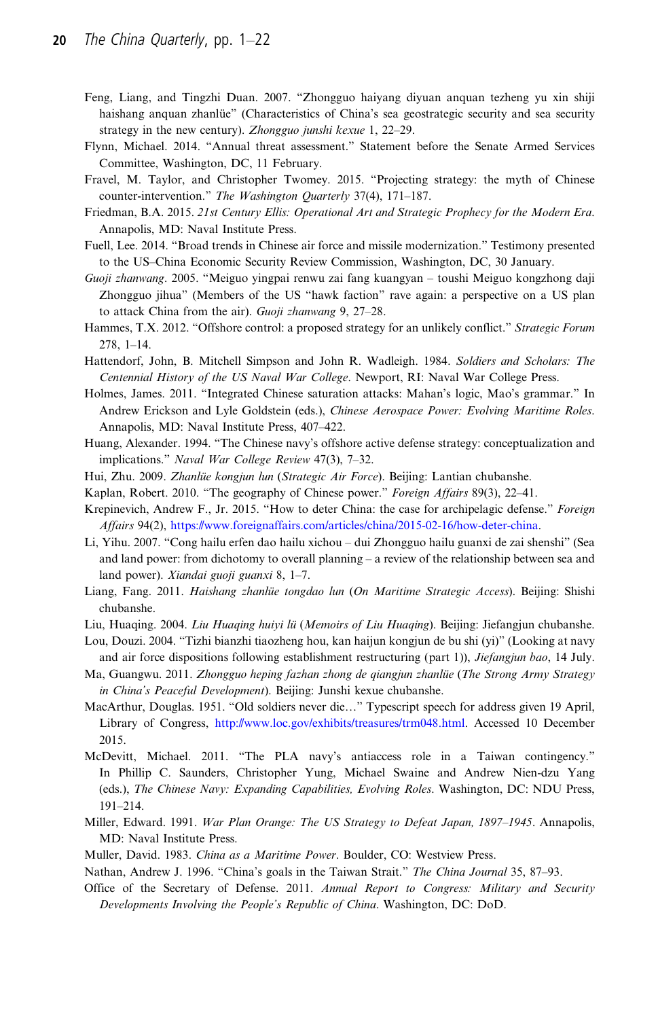- <span id="page-20-0"></span>Feng, Liang, and Tingzhi Duan. 2007. "Zhongguo haiyang diyuan anquan tezheng yu xin shiji haishang anquan zhanlüe" (Characteristics of China's sea geostrategic security and sea security strategy in the new century). Zhongguo junshi kexue 1, 22–29.
- Flynn, Michael. 2014. "Annual threat assessment." Statement before the Senate Armed Services Committee, Washington, DC, 11 February.
- Fravel, M. Taylor, and Christopher Twomey. 2015. "Projecting strategy: the myth of Chinese counter-intervention." The Washington Quarterly 37(4), 171–187.
- Friedman, B.A. 2015. 21st Century Ellis: Operational Art and Strategic Prophecy for the Modern Era. Annapolis, MD: Naval Institute Press.
- Fuell, Lee. 2014. "Broad trends in Chinese air force and missile modernization." Testimony presented to the US–China Economic Security Review Commission, Washington, DC, 30 January.
- Guoji zhanwang. 2005. "Meiguo yingpai renwu zai fang kuangyan toushi Meiguo kongzhong daji Zhongguo jihua" (Members of the US "hawk faction" rave again: a perspective on a US plan to attack China from the air). Guoji zhanwang 9, 27–28.
- Hammes, T.X. 2012. "Offshore control: a proposed strategy for an unlikely conflict." Strategic Forum 278, 1–14.
- Hattendorf, John, B. Mitchell Simpson and John R. Wadleigh. 1984. Soldiers and Scholars: The Centennial History of the US Naval War College. Newport, RI: Naval War College Press.
- Holmes, James. 2011. "Integrated Chinese saturation attacks: Mahan's logic, Mao's grammar." In Andrew Erickson and Lyle Goldstein (eds.), Chinese Aerospace Power: Evolving Maritime Roles. Annapolis, MD: Naval Institute Press, 407–422.
- Huang, Alexander. 1994. "The Chinese navy's offshore active defense strategy: conceptualization and implications." Naval War College Review 47(3), 7–32.
- Hui, Zhu. 2009. Zhanlüe kongjun lun (Strategic Air Force). Beijing: Lantian chubanshe.
- Kaplan, Robert. 2010. "The geography of Chinese power." Foreign Affairs 89(3), 22–41.
- Krepinevich, Andrew F., Jr. 2015. "How to deter China: the case for archipelagic defense." Foreign Affairs 94(2), <https://www.foreignaffairs.com/articles/china/2015-02-16/how-deter-china>.
- Li, Yihu. 2007. "Cong hailu erfen dao hailu xichou dui Zhongguo hailu guanxi de zai shenshi" (Sea and land power: from dichotomy to overall planning – a review of the relationship between sea and land power). *Xiandai guoji guanxi* 8, 1-7.
- Liang, Fang. 2011. Haishang zhanlüe tongdao lun (On Maritime Strategic Access). Beijing: Shishi chubanshe.
- Liu, Huaqing. 2004. Liu Huaqing huiyi lü (Memoirs of Liu Huaqing). Beijing: Jiefangjun chubanshe.
- Lou, Douzi. 2004. "Tizhi bianzhi tiaozheng hou, kan haijun kongjun de bu shi (yi)" (Looking at navy and air force dispositions following establishment restructuring (part 1)), *Jiefangjun bao*, 14 July.
- Ma, Guangwu. 2011. Zhongguo heping fazhan zhong de qiangjun zhanlüe (The Strong Army Strategy in China's Peaceful Development). Beijing: Junshi kexue chubanshe.
- MacArthur, Douglas. 1951. "Old soldiers never die…" Typescript speech for address given 19 April, Library of Congress, <http://www.loc.gov/exhibits/treasures/trm048.html>. Accessed 10 December 2015.
- McDevitt, Michael. 2011. "The PLA navy's antiaccess role in a Taiwan contingency." In Phillip C. Saunders, Christopher Yung, Michael Swaine and Andrew Nien-dzu Yang (eds.), The Chinese Navy: Expanding Capabilities, Evolving Roles. Washington, DC: NDU Press, 191–214.
- Miller, Edward. 1991. War Plan Orange: The US Strategy to Defeat Japan, 1897–1945. Annapolis, MD: Naval Institute Press.
- Muller, David. 1983. China as a Maritime Power. Boulder, CO: Westview Press.

Nathan, Andrew J. 1996. "China's goals in the Taiwan Strait." The China Journal 35, 87–93.

Office of the Secretary of Defense. 2011. Annual Report to Congress: Military and Security Developments Involving the People's Republic of China. Washington, DC: DoD.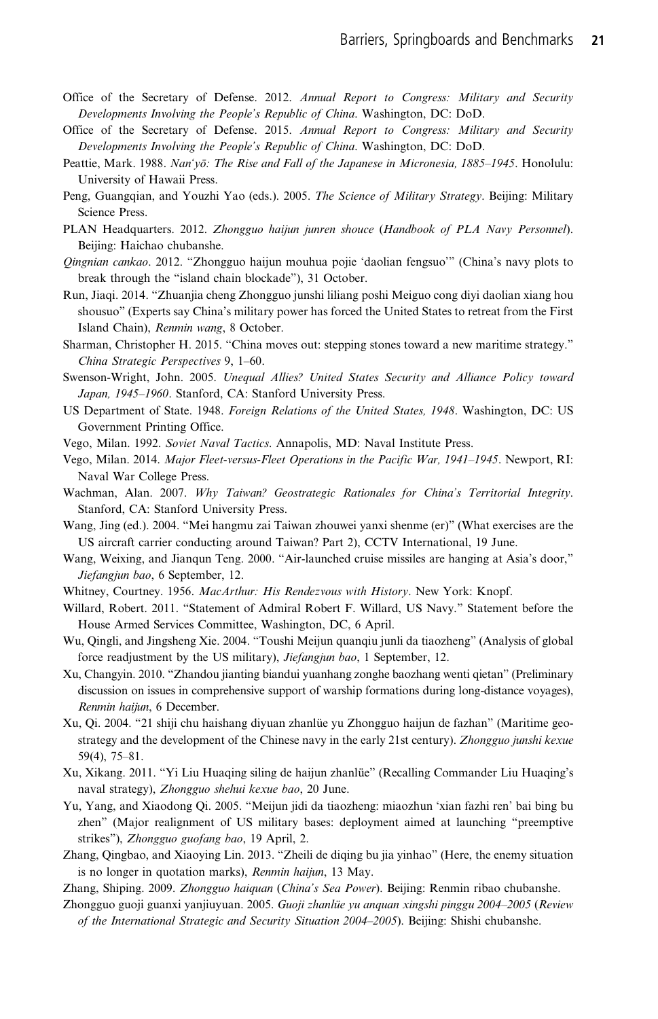- <span id="page-21-0"></span>Office of the Secretary of Defense. 2012. Annual Report to Congress: Military and Security Developments Involving the People's Republic of China. Washington, DC: DoD.
- Office of the Secretary of Defense. 2015. Annual Report to Congress: Military and Security Developments Involving the People's Republic of China. Washington, DC: DoD.
- Peattie, Mark. 1988. Nan'yō: The Rise and Fall of the Japanese in Micronesia, 1885–1945. Honolulu: University of Hawaii Press.
- Peng, Guangqian, and Youzhi Yao (eds.). 2005. The Science of Military Strategy. Beijing: Military Science Press.
- PLAN Headquarters. 2012. Zhongguo haijun junren shouce (Handbook of PLA Navy Personnel). Beijing: Haichao chubanshe.
- Qingnian cankao. 2012. "Zhongguo haijun mouhua pojie 'daolian fengsuo'" (China's navy plots to break through the "island chain blockade"), 31 October.
- Run, Jiaqi. 2014. "Zhuanjia cheng Zhongguo junshi liliang poshi Meiguo cong diyi daolian xiang hou shousuo" (Experts say China's military power has forced the United States to retreat from the First Island Chain), Renmin wang, 8 October.
- Sharman, Christopher H. 2015. "China moves out: stepping stones toward a new maritime strategy." China Strategic Perspectives 9, 1–60.
- Swenson-Wright, John. 2005. Unequal Allies? United States Security and Alliance Policy toward Japan, 1945–1960. Stanford, CA: Stanford University Press.
- US Department of State. 1948. Foreign Relations of the United States, 1948. Washington, DC: US Government Printing Office.
- Vego, Milan. 1992. Soviet Naval Tactics. Annapolis, MD: Naval Institute Press.
- Vego, Milan. 2014. Major Fleet-versus-Fleet Operations in the Pacific War, 1941–1945. Newport, RI: Naval War College Press.
- Wachman, Alan. 2007. Why Taiwan? Geostrategic Rationales for China's Territorial Integrity. Stanford, CA: Stanford University Press.
- Wang, Jing (ed.). 2004. "Mei hangmu zai Taiwan zhouwei yanxi shenme (er)" (What exercises are the US aircraft carrier conducting around Taiwan? Part 2), CCTV International, 19 June.
- Wang, Weixing, and Jianqun Teng. 2000. "Air-launched cruise missiles are hanging at Asia's door," Jiefangjun bao, 6 September, 12.
- Whitney, Courtney. 1956. MacArthur: His Rendezvous with History. New York: Knopf.
- Willard, Robert. 2011. "Statement of Admiral Robert F. Willard, US Navy." Statement before the House Armed Services Committee, Washington, DC, 6 April.
- Wu, Qingli, and Jingsheng Xie. 2004. "Toushi Meijun quanqiu junli da tiaozheng" (Analysis of global force readjustment by the US military), Jiefangjun bao, 1 September, 12.
- Xu, Changyin. 2010. "Zhandou jianting biandui yuanhang zonghe baozhang wenti qietan" (Preliminary discussion on issues in comprehensive support of warship formations during long-distance voyages), Renmin haijun, 6 December.
- Xu, Qi. 2004. "21 shiji chu haishang diyuan zhanlüe yu Zhongguo haijun de fazhan" (Maritime geostrategy and the development of the Chinese navy in the early 21st century). Zhongguo junshi kexue 59(4), 75–81.
- Xu, Xikang. 2011. "Yi Liu Huaqing siling de haijun zhanlüe" (Recalling Commander Liu Huaqing's naval strategy), Zhongguo shehui kexue bao, 20 June.
- Yu, Yang, and Xiaodong Qi. 2005. "Meijun jidi da tiaozheng: miaozhun 'xian fazhi ren' bai bing bu zhen" (Major realignment of US military bases: deployment aimed at launching "preemptive strikes"), Zhongguo guofang bao, 19 April, 2.
- Zhang, Qingbao, and Xiaoying Lin. 2013. "Zheili de diqing bu jia yinhao" (Here, the enemy situation is no longer in quotation marks), Renmin haijun, 13 May.

Zhang, Shiping. 2009. Zhongguo haiquan (China's Sea Power). Beijing: Renmin ribao chubanshe.

Zhongguo guoji guanxi yanjiuyuan. 2005. Guoji zhanlüe yu anquan xingshi pinggu 2004–2005 (Review of the International Strategic and Security Situation 2004–2005). Beijing: Shishi chubanshe.